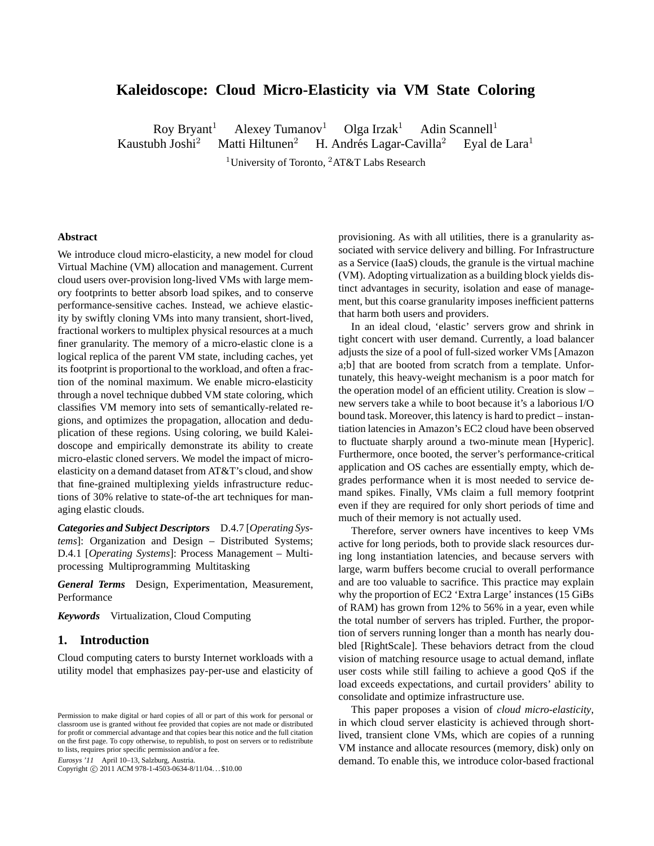# **Kaleidoscope: Cloud Micro-Elasticity via VM State Coloring**

Roy Bryant<sup>1</sup> Alexey Tumanov<sup>1</sup> Olga Irzak<sup>1</sup> Adin Scannell<sup>1</sup> Kaustubh Joshi<sup>2</sup> Matti Hiltunen<sup>2</sup> H. Andrés Lagar-Cavilla<sup>2</sup> Eyal de Lara<sup>1</sup>

<sup>1</sup>University of Toronto, <sup>2</sup>AT&T Labs Research

#### **Abstract**

We introduce cloud micro-elasticity, a new model for cloud Virtual Machine (VM) allocation and management. Current cloud users over-provision long-lived VMs with large memory footprints to better absorb load spikes, and to conserve performance-sensitive caches. Instead, we achieve elasticity by swiftly cloning VMs into many transient, short-lived, fractional workers to multiplex physical resources at a much finer granularity. The memory of a micro-elastic clone is a logical replica of the parent VM state, including caches, yet its footprint is proportional to the workload, and often a fraction of the nominal maximum. We enable micro-elasticity through a novel technique dubbed VM state coloring, which classifies VM memory into sets of semantically-related regions, and optimizes the propagation, allocation and deduplication of these regions. Using coloring, we build Kaleidoscope and empirically demonstrate its ability to create micro-elastic cloned servers. We model the impact of microelasticity on a demand dataset from AT&T's cloud, and show that fine-grained multiplexing yields infrastructure reductions of 30% relative to state-of-the art techniques for managing elastic clouds.

*Categories and Subject Descriptors* D.4.7 [*Operating Systems*]: Organization and Design – Distributed Systems; D.4.1 [*Operating Systems*]: Process Management – Multiprocessing Multiprogramming Multitasking

*General Terms* Design, Experimentation, Measurement, Performance

*Keywords* Virtualization, Cloud Computing

# **1. Introduction**

Cloud computing caters to bursty Internet workloads with a utility model that emphasizes pay-per-use and elasticity of

Eurosys '11 April 10–13, Salzburg, Austria.

Copyright © 2011 ACM 978-1-4503-0634-8/11/04... \$10.00

provisioning. As with all utilities, there is a granularity associated with service delivery and billing. For Infrastructure as a Service (IaaS) clouds, the granule is the virtual machine (VM). Adopting virtualization as a building block yields distinct advantages in security, isolation and ease of management, but this coarse granularity imposes inefficient patterns that harm both users and providers.

In an ideal cloud, 'elastic' servers grow and shrink in tight concert with user demand. Currently, a load balancer adjusts the size of a pool of full-sized worker VMs [Amazon a;b] that are booted from scratch from a template. Unfortunately, this heavy-weight mechanism is a poor match for the operation model of an efficient utility. Creation is slow – new servers take a while to boot because it's a laborious I/O bound task. Moreover, this latency is hard to predict – instantiation latencies in Amazon's EC2 cloud have been observed to fluctuate sharply around a two-minute mean [Hyperic]. Furthermore, once booted, the server's performance-critical application and OS caches are essentially empty, which degrades performance when it is most needed to service demand spikes. Finally, VMs claim a full memory footprint even if they are required for only short periods of time and much of their memory is not actually used.

Therefore, server owners have incentives to keep VMs active for long periods, both to provide slack resources during long instantiation latencies, and because servers with large, warm buffers become crucial to overall performance and are too valuable to sacrifice. This practice may explain why the proportion of EC2 'Extra Large' instances (15 GiBs of RAM) has grown from 12% to 56% in a year, even while the total number of servers has tripled. Further, the proportion of servers running longer than a month has nearly doubled [RightScale]. These behaviors detract from the cloud vision of matching resource usage to actual demand, inflate user costs while still failing to achieve a good QoS if the load exceeds expectations, and curtail providers' ability to consolidate and optimize infrastructure use.

This paper proposes a vision of *cloud micro-elasticity*, in which cloud server elasticity is achieved through shortlived, transient clone VMs, which are copies of a running VM instance and allocate resources (memory, disk) only on demand. To enable this, we introduce color-based fractional

Permission to make digital or hard copies of all or part of this work for personal or classroom use is granted without fee provided that copies are not made or distributed for profit or commercial advantage and that copies bear this notice and the full citation on the first page. To copy otherwise, to republish, to post on servers or to redistribute to lists, requires prior specific permission and/or a fee.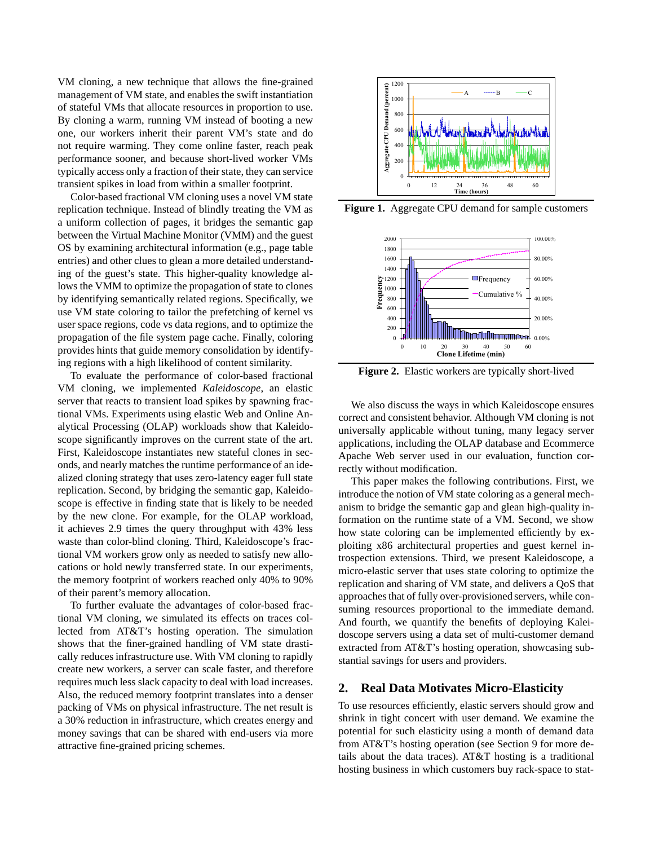VM cloning, a new technique that allows the fine-grained management of VM state, and enables the swift instantiation of stateful VMs that allocate resources in proportion to use. By cloning a warm, running VM instead of booting a new one, our workers inherit their parent VM's state and do not require warming. They come online faster, reach peak performance sooner, and because short-lived worker VMs typically access only a fraction of their state, they can service transient spikes in load from within a smaller footprint.

Color-based fractional VM cloning uses a novel VM state replication technique. Instead of blindly treating the VM as a uniform collection of pages, it bridges the semantic gap between the Virtual Machine Monitor (VMM) and the guest OS by examining architectural information (e.g., page table entries) and other clues to glean a more detailed understanding of the guest's state. This higher-quality knowledge allows the VMM to optimize the propagation of state to clones by identifying semantically related regions. Specifically, we use VM state coloring to tailor the prefetching of kernel vs user space regions, code vs data regions, and to optimize the propagation of the file system page cache. Finally, coloring provides hints that guide memory consolidation by identifying regions with a high likelihood of content similarity.

To evaluate the performance of color-based fractional VM cloning, we implemented *Kaleidoscope*, an elastic server that reacts to transient load spikes by spawning fractional VMs. Experiments using elastic Web and Online Analytical Processing (OLAP) workloads show that Kaleidoscope significantly improves on the current state of the art. First, Kaleidoscope instantiates new stateful clones in seconds, and nearly matches the runtime performance of an idealized cloning strategy that uses zero-latency eager full state replication. Second, by bridging the semantic gap, Kaleidoscope is effective in finding state that is likely to be needed by the new clone. For example, for the OLAP workload, it achieves 2.9 times the query throughput with 43% less waste than color-blind cloning. Third, Kaleidoscope's fractional VM workers grow only as needed to satisfy new allocations or hold newly transferred state. In our experiments, the memory footprint of workers reached only 40% to 90% of their parent's memory allocation.

To further evaluate the advantages of color-based fractional VM cloning, we simulated its effects on traces collected from AT&T's hosting operation. The simulation shows that the finer-grained handling of VM state drastically reduces infrastructure use. With VM cloning to rapidly create new workers, a server can scale faster, and therefore requires much less slack capacity to deal with load increases. Also, the reduced memory footprint translates into a denser packing of VMs on physical infrastructure. The net result is a 30% reduction in infrastructure, which creates energy and money savings that can be shared with end-users via more attractive fine-grained pricing schemes.



**Figure 1.** Aggregate CPU demand for sample customers



**Figure 2.** Elastic workers are typically short-lived

We also discuss the ways in which Kaleidoscope ensures correct and consistent behavior. Although VM cloning is not universally applicable without tuning, many legacy server applications, including the OLAP database and Ecommerce Apache Web server used in our evaluation, function correctly without modification.

This paper makes the following contributions. First, we introduce the notion of VM state coloring as a general mechanism to bridge the semantic gap and glean high-quality information on the runtime state of a VM. Second, we show how state coloring can be implemented efficiently by exploiting x86 architectural properties and guest kernel introspection extensions. Third, we present Kaleidoscope, a micro-elastic server that uses state coloring to optimize the replication and sharing of VM state, and delivers a QoS that approaches that of fully over-provisioned servers, while consuming resources proportional to the immediate demand. And fourth, we quantify the benefits of deploying Kaleidoscope servers using a data set of multi-customer demand extracted from AT&T's hosting operation, showcasing substantial savings for users and providers.

## **2. Real Data Motivates Micro-Elasticity**

To use resources efficiently, elastic servers should grow and shrink in tight concert with user demand. We examine the potential for such elasticity using a month of demand data from AT&T's hosting operation (see Section 9 for more details about the data traces). AT&T hosting is a traditional hosting business in which customers buy rack-space to stat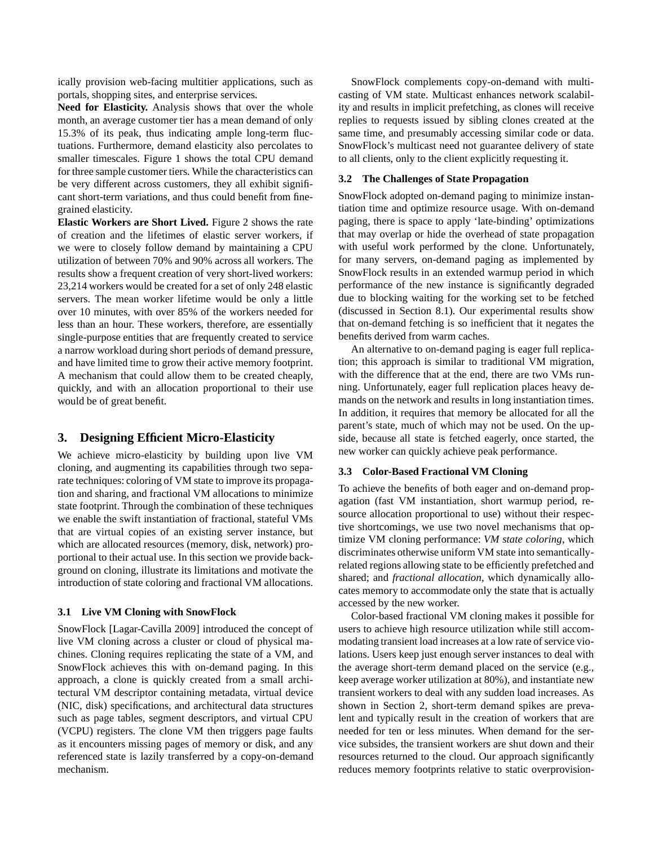ically provision web-facing multitier applications, such as portals, shopping sites, and enterprise services.

**Need for Elasticity.** Analysis shows that over the whole month, an average customer tier has a mean demand of only 15.3% of its peak, thus indicating ample long-term fluctuations. Furthermore, demand elasticity also percolates to smaller timescales. Figure 1 shows the total CPU demand for three sample customer tiers. While the characteristics can be very different across customers, they all exhibit significant short-term variations, and thus could benefit from finegrained elasticity.

**Elastic Workers are Short Lived.** Figure 2 shows the rate of creation and the lifetimes of elastic server workers, if we were to closely follow demand by maintaining a CPU utilization of between 70% and 90% across all workers. The results show a frequent creation of very short-lived workers: 23,214 workers would be created for a set of only 248 elastic servers. The mean worker lifetime would be only a little over 10 minutes, with over 85% of the workers needed for less than an hour. These workers, therefore, are essentially single-purpose entities that are frequently created to service a narrow workload during short periods of demand pressure, and have limited time to grow their active memory footprint. A mechanism that could allow them to be created cheaply, quickly, and with an allocation proportional to their use would be of great benefit.

# **3. Designing Efficient Micro-Elasticity**

We achieve micro-elasticity by building upon live VM cloning, and augmenting its capabilities through two separate techniques: coloring of VM state to improve its propagation and sharing, and fractional VM allocations to minimize state footprint. Through the combination of these techniques we enable the swift instantiation of fractional, stateful VMs that are virtual copies of an existing server instance, but which are allocated resources (memory, disk, network) proportional to their actual use. In this section we provide background on cloning, illustrate its limitations and motivate the introduction of state coloring and fractional VM allocations.

#### **3.1 Live VM Cloning with SnowFlock**

SnowFlock [Lagar-Cavilla 2009] introduced the concept of live VM cloning across a cluster or cloud of physical machines. Cloning requires replicating the state of a VM, and SnowFlock achieves this with on-demand paging. In this approach, a clone is quickly created from a small architectural VM descriptor containing metadata, virtual device (NIC, disk) specifications, and architectural data structures such as page tables, segment descriptors, and virtual CPU (VCPU) registers. The clone VM then triggers page faults as it encounters missing pages of memory or disk, and any referenced state is lazily transferred by a copy-on-demand mechanism.

SnowFlock complements copy-on-demand with multicasting of VM state. Multicast enhances network scalability and results in implicit prefetching, as clones will receive replies to requests issued by sibling clones created at the same time, and presumably accessing similar code or data. SnowFlock's multicast need not guarantee delivery of state to all clients, only to the client explicitly requesting it.

#### **3.2 The Challenges of State Propagation**

SnowFlock adopted on-demand paging to minimize instantiation time and optimize resource usage. With on-demand paging, there is space to apply 'late-binding' optimizations that may overlap or hide the overhead of state propagation with useful work performed by the clone. Unfortunately, for many servers, on-demand paging as implemented by SnowFlock results in an extended warmup period in which performance of the new instance is significantly degraded due to blocking waiting for the working set to be fetched (discussed in Section 8.1). Our experimental results show that on-demand fetching is so inefficient that it negates the benefits derived from warm caches.

An alternative to on-demand paging is eager full replication; this approach is similar to traditional VM migration, with the difference that at the end, there are two VMs running. Unfortunately, eager full replication places heavy demands on the network and results in long instantiation times. In addition, it requires that memory be allocated for all the parent's state, much of which may not be used. On the upside, because all state is fetched eagerly, once started, the new worker can quickly achieve peak performance.

### **3.3 Color-Based Fractional VM Cloning**

To achieve the benefits of both eager and on-demand propagation (fast VM instantiation, short warmup period, resource allocation proportional to use) without their respective shortcomings, we use two novel mechanisms that optimize VM cloning performance: *VM state coloring*, which discriminates otherwise uniform VM state into semanticallyrelated regions allowing state to be efficiently prefetched and shared; and *fractional allocation*, which dynamically allocates memory to accommodate only the state that is actually accessed by the new worker.

Color-based fractional VM cloning makes it possible for users to achieve high resource utilization while still accommodating transient load increases at a low rate of service violations. Users keep just enough server instances to deal with the average short-term demand placed on the service (e.g., keep average worker utilization at 80%), and instantiate new transient workers to deal with any sudden load increases. As shown in Section 2, short-term demand spikes are prevalent and typically result in the creation of workers that are needed for ten or less minutes. When demand for the service subsides, the transient workers are shut down and their resources returned to the cloud. Our approach significantly reduces memory footprints relative to static overprovision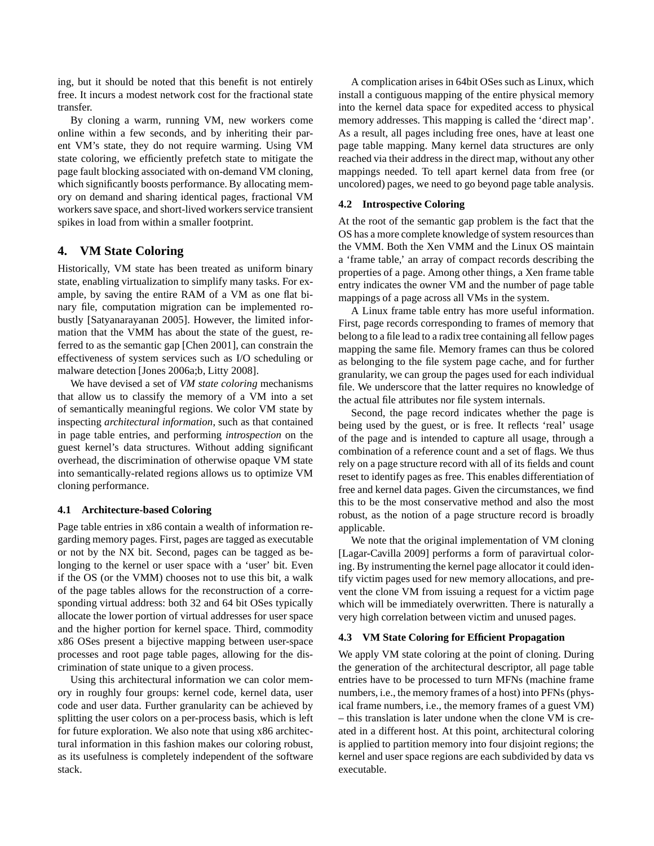ing, but it should be noted that this benefit is not entirely free. It incurs a modest network cost for the fractional state transfer.

By cloning a warm, running VM, new workers come online within a few seconds, and by inheriting their parent VM's state, they do not require warming. Using VM state coloring, we efficiently prefetch state to mitigate the page fault blocking associated with on-demand VM cloning, which significantly boosts performance. By allocating memory on demand and sharing identical pages, fractional VM workers save space, and short-lived workers service transient spikes in load from within a smaller footprint.

# **4. VM State Coloring**

Historically, VM state has been treated as uniform binary state, enabling virtualization to simplify many tasks. For example, by saving the entire RAM of a VM as one flat binary file, computation migration can be implemented robustly [Satyanarayanan 2005]. However, the limited information that the VMM has about the state of the guest, referred to as the semantic gap [Chen 2001], can constrain the effectiveness of system services such as I/O scheduling or malware detection [Jones 2006a;b, Litty 2008].

We have devised a set of *VM state coloring* mechanisms that allow us to classify the memory of a VM into a set of semantically meaningful regions. We color VM state by inspecting *architectural information*, such as that contained in page table entries, and performing *introspection* on the guest kernel's data structures. Without adding significant overhead, the discrimination of otherwise opaque VM state into semantically-related regions allows us to optimize VM cloning performance.

### **4.1 Architecture-based Coloring**

Page table entries in x86 contain a wealth of information regarding memory pages. First, pages are tagged as executable or not by the NX bit. Second, pages can be tagged as belonging to the kernel or user space with a 'user' bit. Even if the OS (or the VMM) chooses not to use this bit, a walk of the page tables allows for the reconstruction of a corresponding virtual address: both 32 and 64 bit OSes typically allocate the lower portion of virtual addresses for user space and the higher portion for kernel space. Third, commodity x86 OSes present a bijective mapping between user-space processes and root page table pages, allowing for the discrimination of state unique to a given process.

Using this architectural information we can color memory in roughly four groups: kernel code, kernel data, user code and user data. Further granularity can be achieved by splitting the user colors on a per-process basis, which is left for future exploration. We also note that using x86 architectural information in this fashion makes our coloring robust, as its usefulness is completely independent of the software stack.

A complication arises in 64bit OSes such as Linux, which install a contiguous mapping of the entire physical memory into the kernel data space for expedited access to physical memory addresses. This mapping is called the 'direct map'. As a result, all pages including free ones, have at least one page table mapping. Many kernel data structures are only reached via their address in the direct map, without any other mappings needed. To tell apart kernel data from free (or uncolored) pages, we need to go beyond page table analysis.

## **4.2 Introspective Coloring**

At the root of the semantic gap problem is the fact that the OS has a more complete knowledge of system resources than the VMM. Both the Xen VMM and the Linux OS maintain a 'frame table,' an array of compact records describing the properties of a page. Among other things, a Xen frame table entry indicates the owner VM and the number of page table mappings of a page across all VMs in the system.

A Linux frame table entry has more useful information. First, page records corresponding to frames of memory that belong to a file lead to a radix tree containing all fellow pages mapping the same file. Memory frames can thus be colored as belonging to the file system page cache, and for further granularity, we can group the pages used for each individual file. We underscore that the latter requires no knowledge of the actual file attributes nor file system internals.

Second, the page record indicates whether the page is being used by the guest, or is free. It reflects 'real' usage of the page and is intended to capture all usage, through a combination of a reference count and a set of flags. We thus rely on a page structure record with all of its fields and count reset to identify pages as free. This enables differentiation of free and kernel data pages. Given the circumstances, we find this to be the most conservative method and also the most robust, as the notion of a page structure record is broadly applicable.

We note that the original implementation of VM cloning [Lagar-Cavilla 2009] performs a form of paravirtual coloring. By instrumenting the kernel page allocator it could identify victim pages used for new memory allocations, and prevent the clone VM from issuing a request for a victim page which will be immediately overwritten. There is naturally a very high correlation between victim and unused pages.

# **4.3 VM State Coloring for Efficient Propagation**

We apply VM state coloring at the point of cloning. During the generation of the architectural descriptor, all page table entries have to be processed to turn MFNs (machine frame numbers, i.e., the memory frames of a host) into PFNs (physical frame numbers, i.e., the memory frames of a guest VM) – this translation is later undone when the clone VM is created in a different host. At this point, architectural coloring is applied to partition memory into four disjoint regions; the kernel and user space regions are each subdivided by data vs executable.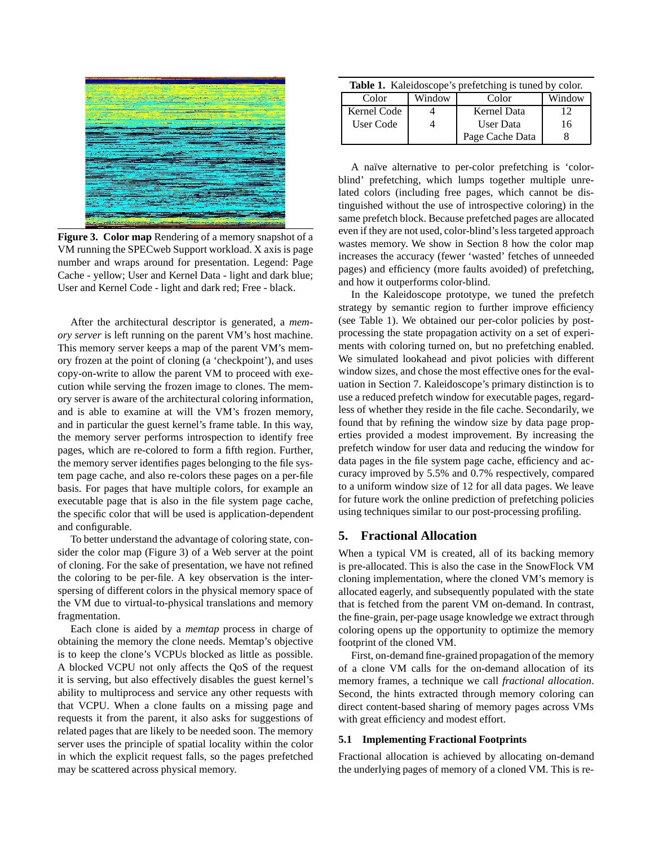

**Figure 3. Color map** Rendering of a memory snapshot of a VM running the SPECweb Support workload. X axis is page number and wraps around for presentation. Legend: Page Cache - yellow; User and Kernel Data - light and dark blue; User and Kernel Code - light and dark red; Free - black.

After the architectural descriptor is generated, a *memory server* is left running on the parent VM's host machine. This memory server keeps a map of the parent VM's memory frozen at the point of cloning (a 'checkpoint'), and uses copy-on-write to allow the parent VM to proceed with execution while serving the frozen image to clones. The memory server is aware of the architectural coloring information, and is able to examine at will the VM's frozen memory, and in particular the guest kernel's frame table. In this way, the memory server performs introspection to identify free pages, which are re-colored to form a fifth region. Further, the memory server identifies pages belonging to the file system page cache, and also re-colors these pages on a per-file basis. For pages that have multiple colors, for example an executable page that is also in the file system page cache, the specific color that will be used is application-dependent and configurable.

To better understand the advantage of coloring state, consider the color map (Figure 3) of a Web server at the point of cloning. For the sake of presentation, we have not refined the coloring to be per-file. A key observation is the interspersing of different colors in the physical memory space of the VM due to virtual-to-physical translations and memory fragmentation.

Each clone is aided by a *memtap* process in charge of obtaining the memory the clone needs. Memtap's objective is to keep the clone's VCPUs blocked as little as possible. A blocked VCPU not only affects the QoS of the request it is serving, but also effectively disables the guest kernel's ability to multiprocess and service any other requests with that VCPU. When a clone faults on a missing page and requests it from the parent, it also asks for suggestions of related pages that are likely to be needed soon. The memory server uses the principle of spatial locality within the color in which the explicit request falls, so the pages prefetched may be scattered across physical memory.

| <b>Table 1.</b> Kaleidoscope's prefetching is tuned by color. |        |                    |        |  |
|---------------------------------------------------------------|--------|--------------------|--------|--|
| Color                                                         | Window | Color              | Window |  |
| Kernel Code                                                   |        | <b>Kernel Data</b> | 12     |  |
| User Code                                                     |        | User Data          | 16     |  |
|                                                               |        | Page Cache Data    |        |  |

A naïve alternative to per-color prefetching is 'colorblind' prefetching, which lumps together multiple unrelated colors (including free pages, which cannot be distinguished without the use of introspective coloring) in the same prefetch block. Because prefetched pages are allocated even if they are not used, color-blind's less targeted approach wastes memory. We show in Section 8 how the color map increases the accuracy (fewer 'wasted' fetches of unneeded pages) and efficiency (more faults avoided) of prefetching, and how it outperforms color-blind.

In the Kaleidoscope prototype, we tuned the prefetch strategy by semantic region to further improve efficiency (see Table 1). We obtained our per-color policies by postprocessing the state propagation activity on a set of experiments with coloring turned on, but no prefetching enabled. We simulated lookahead and pivot policies with different window sizes, and chose the most effective ones for the evaluation in Section 7. Kaleidoscope's primary distinction is to use a reduced prefetch window for executable pages, regardless of whether they reside in the file cache. Secondarily, we found that by refining the window size by data page properties provided a modest improvement. By increasing the prefetch window for user data and reducing the window for data pages in the file system page cache, efficiency and accuracy improved by 5.5% and 0.7% respectively, compared to a uniform window size of 12 for all data pages. We leave for future work the online prediction of prefetching policies using techniques similar to our post-processing profiling.

# **5. Fractional Allocation**

When a typical VM is created, all of its backing memory is pre-allocated. This is also the case in the SnowFlock VM cloning implementation, where the cloned VM's memory is allocated eagerly, and subsequently populated with the state that is fetched from the parent VM on-demand. In contrast, the fine-grain, per-page usage knowledge we extract through coloring opens up the opportunity to optimize the memory footprint of the cloned VM.

First, on-demand fine-grained propagation of the memory of a clone VM calls for the on-demand allocation of its memory frames, a technique we call *fractional allocation*. Second, the hints extracted through memory coloring can direct content-based sharing of memory pages across VMs with great efficiency and modest effort.

#### **5.1 Implementing Fractional Footprints**

Fractional allocation is achieved by allocating on-demand the underlying pages of memory of a cloned VM. This is re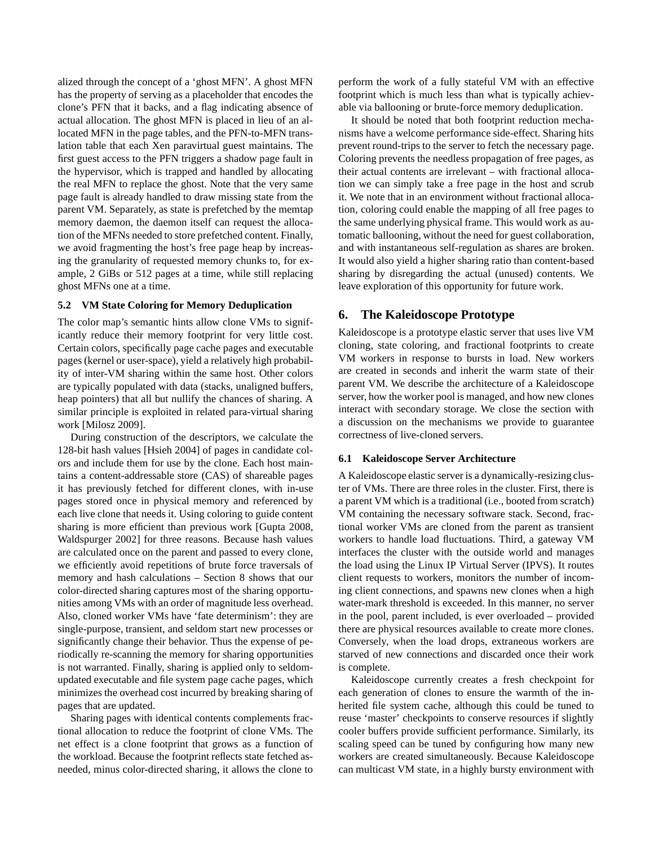alized through the concept of a 'ghost MFN'. A ghost MFN has the property of serving as a placeholder that encodes the clone's PFN that it backs, and a flag indicating absence of actual allocation. The ghost MFN is placed in lieu of an allocated MFN in the page tables, and the PFN-to-MFN translation table that each Xen paravirtual guest maintains. The first guest access to the PFN triggers a shadow page fault in the hypervisor, which is trapped and handled by allocating the real MFN to replace the ghost. Note that the very same page fault is already handled to draw missing state from the parent VM. Separately, as state is prefetched by the memtap memory daemon, the daemon itself can request the allocation of the MFNs needed to store prefetched content. Finally, we avoid fragmenting the host's free page heap by increasing the granularity of requested memory chunks to, for example, 2 GiBs or 512 pages at a time, while still replacing ghost MFNs one at a time.

# **5.2 VM State Coloring for Memory Deduplication**

The color map's semantic hints allow clone VMs to significantly reduce their memory footprint for very little cost. Certain colors, specifically page cache pages and executable pages (kernel or user-space), yield a relatively high probability of inter-VM sharing within the same host. Other colors are typically populated with data (stacks, unaligned buffers, heap pointers) that all but nullify the chances of sharing. A similar principle is exploited in related para-virtual sharing work [Milosz 2009].

During construction of the descriptors, we calculate the 128-bit hash values [Hsieh 2004] of pages in candidate colors and include them for use by the clone. Each host maintains a content-addressable store (CAS) of shareable pages it has previously fetched for different clones, with in-use pages stored once in physical memory and referenced by each live clone that needs it. Using coloring to guide content sharing is more efficient than previous work [Gupta 2008, Waldspurger 2002] for three reasons. Because hash values are calculated once on the parent and passed to every clone, we efficiently avoid repetitions of brute force traversals of memory and hash calculations – Section 8 shows that our color-directed sharing captures most of the sharing opportunities among VMs with an order of magnitude less overhead. Also, cloned worker VMs have 'fate determinism': they are single-purpose, transient, and seldom start new processes or significantly change their behavior. Thus the expense of periodically re-scanning the memory for sharing opportunities is not warranted. Finally, sharing is applied only to seldomupdated executable and file system page cache pages, which minimizes the overhead cost incurred by breaking sharing of pages that are updated.

Sharing pages with identical contents complements fractional allocation to reduce the footprint of clone VMs. The net effect is a clone footprint that grows as a function of the workload. Because the footprint reflects state fetched asneeded, minus color-directed sharing, it allows the clone to

perform the work of a fully stateful VM with an effective footprint which is much less than what is typically achievable via ballooning or brute-force memory deduplication.

It should be noted that both footprint reduction mechanisms have a welcome performance side-effect. Sharing hits prevent round-trips to the server to fetch the necessary page. Coloring prevents the needless propagation of free pages, as their actual contents are irrelevant – with fractional allocation we can simply take a free page in the host and scrub it. We note that in an environment without fractional allocation, coloring could enable the mapping of all free pages to the same underlying physical frame. This would work as automatic ballooning, without the need for guest collaboration, and with instantaneous self-regulation as shares are broken. It would also yield a higher sharing ratio than content-based sharing by disregarding the actual (unused) contents. We leave exploration of this opportunity for future work.

# **6. The Kaleidoscope Prototype**

Kaleidoscope is a prototype elastic server that uses live VM cloning, state coloring, and fractional footprints to create VM workers in response to bursts in load. New workers are created in seconds and inherit the warm state of their parent VM. We describe the architecture of a Kaleidoscope server, how the worker pool is managed, and how new clones interact with secondary storage. We close the section with a discussion on the mechanisms we provide to guarantee correctness of live-cloned servers.

# **6.1 Kaleidoscope Server Architecture**

A Kaleidoscope elastic server is a dynamically-resizing cluster of VMs. There are three roles in the cluster. First, there is a parent VM which is a traditional (i.e., booted from scratch) VM containing the necessary software stack. Second, fractional worker VMs are cloned from the parent as transient workers to handle load fluctuations. Third, a gateway VM interfaces the cluster with the outside world and manages the load using the Linux IP Virtual Server (IPVS). It routes client requests to workers, monitors the number of incoming client connections, and spawns new clones when a high water-mark threshold is exceeded. In this manner, no server in the pool, parent included, is ever overloaded – provided there are physical resources available to create more clones. Conversely, when the load drops, extraneous workers are starved of new connections and discarded once their work is complete.

Kaleidoscope currently creates a fresh checkpoint for each generation of clones to ensure the warmth of the inherited file system cache, although this could be tuned to reuse 'master' checkpoints to conserve resources if slightly cooler buffers provide sufficient performance. Similarly, its scaling speed can be tuned by configuring how many new workers are created simultaneously. Because Kaleidoscope can multicast VM state, in a highly bursty environment with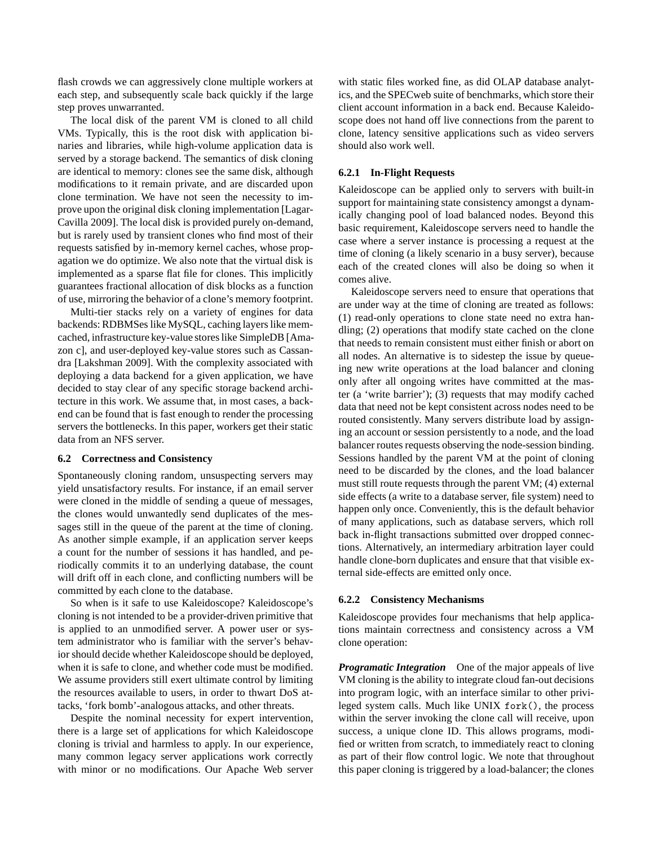flash crowds we can aggressively clone multiple workers at each step, and subsequently scale back quickly if the large step proves unwarranted.

The local disk of the parent VM is cloned to all child VMs. Typically, this is the root disk with application binaries and libraries, while high-volume application data is served by a storage backend. The semantics of disk cloning are identical to memory: clones see the same disk, although modifications to it remain private, and are discarded upon clone termination. We have not seen the necessity to improve upon the original disk cloning implementation [Lagar-Cavilla 2009]. The local disk is provided purely on-demand, but is rarely used by transient clones who find most of their requests satisfied by in-memory kernel caches, whose propagation we do optimize. We also note that the virtual disk is implemented as a sparse flat file for clones. This implicitly guarantees fractional allocation of disk blocks as a function of use, mirroring the behavior of a clone's memory footprint.

Multi-tier stacks rely on a variety of engines for data backends: RDBMSes like MySQL, caching layers like memcached, infrastructure key-value stores like SimpleDB [Amazon c], and user-deployed key-value stores such as Cassandra [Lakshman 2009]. With the complexity associated with deploying a data backend for a given application, we have decided to stay clear of any specific storage backend architecture in this work. We assume that, in most cases, a backend can be found that is fast enough to render the processing servers the bottlenecks. In this paper, workers get their static data from an NFS server.

#### **6.2 Correctness and Consistency**

Spontaneously cloning random, unsuspecting servers may yield unsatisfactory results. For instance, if an email server were cloned in the middle of sending a queue of messages, the clones would unwantedly send duplicates of the messages still in the queue of the parent at the time of cloning. As another simple example, if an application server keeps a count for the number of sessions it has handled, and periodically commits it to an underlying database, the count will drift off in each clone, and conflicting numbers will be committed by each clone to the database.

So when is it safe to use Kaleidoscope? Kaleidoscope's cloning is not intended to be a provider-driven primitive that is applied to an unmodified server. A power user or system administrator who is familiar with the server's behavior should decide whether Kaleidoscope should be deployed, when it is safe to clone, and whether code must be modified. We assume providers still exert ultimate control by limiting the resources available to users, in order to thwart DoS attacks, 'fork bomb'-analogous attacks, and other threats.

Despite the nominal necessity for expert intervention, there is a large set of applications for which Kaleidoscope cloning is trivial and harmless to apply. In our experience, many common legacy server applications work correctly with minor or no modifications. Our Apache Web server

with static files worked fine, as did OLAP database analytics, and the SPECweb suite of benchmarks, which store their client account information in a back end. Because Kaleidoscope does not hand off live connections from the parent to clone, latency sensitive applications such as video servers should also work well.

#### **6.2.1 In-Flight Requests**

Kaleidoscope can be applied only to servers with built-in support for maintaining state consistency amongst a dynamically changing pool of load balanced nodes. Beyond this basic requirement, Kaleidoscope servers need to handle the case where a server instance is processing a request at the time of cloning (a likely scenario in a busy server), because each of the created clones will also be doing so when it comes alive.

Kaleidoscope servers need to ensure that operations that are under way at the time of cloning are treated as follows: (1) read-only operations to clone state need no extra handling; (2) operations that modify state cached on the clone that needs to remain consistent must either finish or abort on all nodes. An alternative is to sidestep the issue by queueing new write operations at the load balancer and cloning only after all ongoing writes have committed at the master (a 'write barrier'); (3) requests that may modify cached data that need not be kept consistent across nodes need to be routed consistently. Many servers distribute load by assigning an account or session persistently to a node, and the load balancer routes requests observing the node-session binding. Sessions handled by the parent VM at the point of cloning need to be discarded by the clones, and the load balancer must still route requests through the parent VM; (4) external side effects (a write to a database server, file system) need to happen only once. Conveniently, this is the default behavior of many applications, such as database servers, which roll back in-flight transactions submitted over dropped connections. Alternatively, an intermediary arbitration layer could handle clone-born duplicates and ensure that that visible external side-effects are emitted only once.

#### **6.2.2 Consistency Mechanisms**

Kaleidoscope provides four mechanisms that help applications maintain correctness and consistency across a VM clone operation:

*Programatic Integration* One of the major appeals of live VM cloning is the ability to integrate cloud fan-out decisions into program logic, with an interface similar to other privileged system calls. Much like UNIX fork(), the process within the server invoking the clone call will receive, upon success, a unique clone ID. This allows programs, modified or written from scratch, to immediately react to cloning as part of their flow control logic. We note that throughout this paper cloning is triggered by a load-balancer; the clones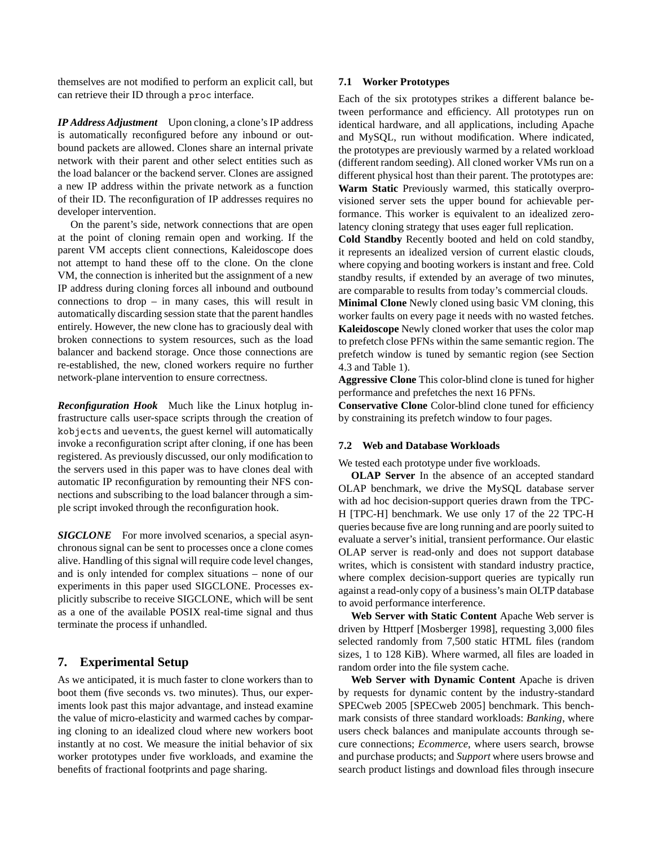themselves are not modified to perform an explicit call, but can retrieve their ID through a proc interface.

*IP Address Adjustment* Upon cloning, a clone's IP address is automatically reconfigured before any inbound or outbound packets are allowed. Clones share an internal private network with their parent and other select entities such as the load balancer or the backend server. Clones are assigned a new IP address within the private network as a function of their ID. The reconfiguration of IP addresses requires no developer intervention.

On the parent's side, network connections that are open at the point of cloning remain open and working. If the parent VM accepts client connections, Kaleidoscope does not attempt to hand these off to the clone. On the clone VM, the connection is inherited but the assignment of a new IP address during cloning forces all inbound and outbound connections to drop – in many cases, this will result in automatically discarding session state that the parent handles entirely. However, the new clone has to graciously deal with broken connections to system resources, such as the load balancer and backend storage. Once those connections are re-established, the new, cloned workers require no further network-plane intervention to ensure correctness.

*Reconfiguration Hook* Much like the Linux hotplug infrastructure calls user-space scripts through the creation of kobjects and uevents, the guest kernel will automatically invoke a reconfiguration script after cloning, if one has been registered. As previously discussed, our only modification to the servers used in this paper was to have clones deal with automatic IP reconfiguration by remounting their NFS connections and subscribing to the load balancer through a simple script invoked through the reconfiguration hook.

*SIGCLONE* For more involved scenarios, a special asynchronous signal can be sent to processes once a clone comes alive. Handling of this signal will require code level changes, and is only intended for complex situations – none of our experiments in this paper used SIGCLONE. Processes explicitly subscribe to receive SIGCLONE, which will be sent as a one of the available POSIX real-time signal and thus terminate the process if unhandled.

# **7. Experimental Setup**

As we anticipated, it is much faster to clone workers than to boot them (five seconds vs. two minutes). Thus, our experiments look past this major advantage, and instead examine the value of micro-elasticity and warmed caches by comparing cloning to an idealized cloud where new workers boot instantly at no cost. We measure the initial behavior of six worker prototypes under five workloads, and examine the benefits of fractional footprints and page sharing.

## **7.1 Worker Prototypes**

Each of the six prototypes strikes a different balance between performance and efficiency. All prototypes run on identical hardware, and all applications, including Apache and MySQL, run without modification. Where indicated, the prototypes are previously warmed by a related workload (different random seeding). All cloned worker VMs run on a different physical host than their parent. The prototypes are: **Warm Static** Previously warmed, this statically overprovisioned server sets the upper bound for achievable performance. This worker is equivalent to an idealized zerolatency cloning strategy that uses eager full replication.

**Cold Standby** Recently booted and held on cold standby, it represents an idealized version of current elastic clouds, where copying and booting workers is instant and free. Cold standby results, if extended by an average of two minutes, are comparable to results from today's commercial clouds.

**Minimal Clone** Newly cloned using basic VM cloning, this worker faults on every page it needs with no wasted fetches. **Kaleidoscope** Newly cloned worker that uses the color map to prefetch close PFNs within the same semantic region. The prefetch window is tuned by semantic region (see Section 4.3 and Table 1).

**Aggressive Clone** This color-blind clone is tuned for higher performance and prefetches the next 16 PFNs.

**Conservative Clone** Color-blind clone tuned for efficiency by constraining its prefetch window to four pages.

#### **7.2 Web and Database Workloads**

We tested each prototype under five workloads.

**OLAP Server** In the absence of an accepted standard OLAP benchmark, we drive the MySQL database server with ad hoc decision-support queries drawn from the TPC-H [TPC-H] benchmark. We use only 17 of the 22 TPC-H queries because five are long running and are poorly suited to evaluate a server's initial, transient performance. Our elastic OLAP server is read-only and does not support database writes, which is consistent with standard industry practice, where complex decision-support queries are typically run against a read-only copy of a business's main OLTP database to avoid performance interference.

**Web Server with Static Content** Apache Web server is driven by Httperf [Mosberger 1998], requesting 3,000 files selected randomly from 7,500 static HTML files (random sizes, 1 to 128 KiB). Where warmed, all files are loaded in random order into the file system cache.

**Web Server with Dynamic Content** Apache is driven by requests for dynamic content by the industry-standard SPECweb 2005 [SPECweb 2005] benchmark. This benchmark consists of three standard workloads: *Banking*, where users check balances and manipulate accounts through secure connections; *Ecommerce*, where users search, browse and purchase products; and *Support* where users browse and search product listings and download files through insecure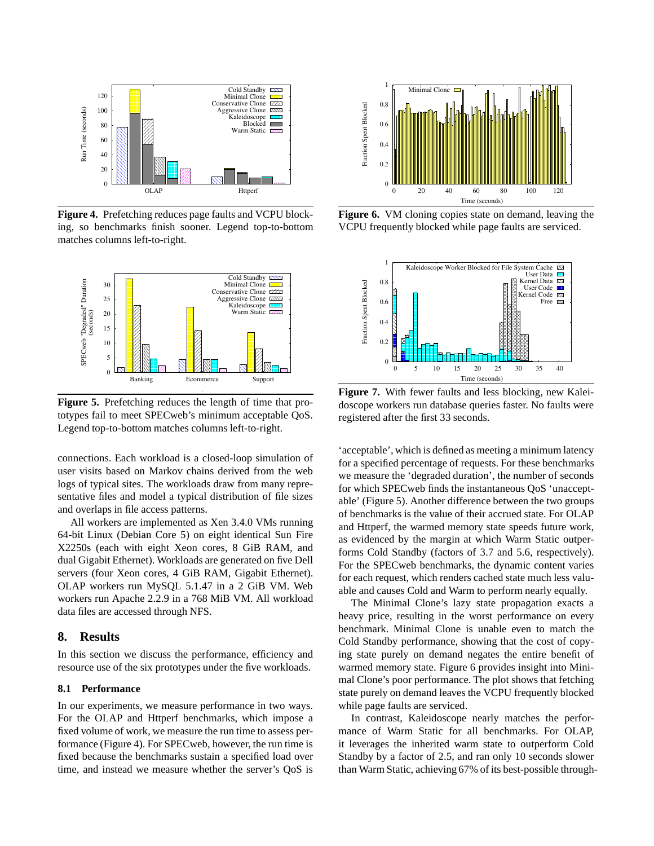

**Figure 4.** Prefetching reduces page faults and VCPU blocking, so benchmarks finish sooner. Legend top-to-bottom matches columns left-to-right.



**Figure 5.** Prefetching reduces the length of time that prototypes fail to meet SPECweb's minimum acceptable QoS. Legend top-to-bottom matches columns left-to-right.

connections. Each workload is a closed-loop simulation of user visits based on Markov chains derived from the web logs of typical sites. The workloads draw from many representative files and model a typical distribution of file sizes and overlaps in file access patterns.

All workers are implemented as Xen 3.4.0 VMs running 64-bit Linux (Debian Core 5) on eight identical Sun Fire X2250s (each with eight Xeon cores, 8 GiB RAM, and dual Gigabit Ethernet). Workloads are generated on five Dell servers (four Xeon cores, 4 GiB RAM, Gigabit Ethernet). OLAP workers run MySQL 5.1.47 in a 2 GiB VM. Web workers run Apache 2.2.9 in a 768 MiB VM. All workload data files are accessed through NFS.

#### **8. Results**

In this section we discuss the performance, efficiency and resource use of the six prototypes under the five workloads.

### **8.1 Performance**

In our experiments, we measure performance in two ways. For the OLAP and Httperf benchmarks, which impose a fixed volume of work, we measure the run time to assess performance (Figure 4). For SPECweb, however, the run time is fixed because the benchmarks sustain a specified load over time, and instead we measure whether the server's QoS is



**Figure 6.** VM cloning copies state on demand, leaving the VCPU frequently blocked while page faults are serviced.



**Figure 7.** With fewer faults and less blocking, new Kaleidoscope workers run database queries faster. No faults were registered after the first 33 seconds.

'acceptable', which is defined as meeting a minimum latency for a specified percentage of requests. For these benchmarks we measure the 'degraded duration', the number of seconds for which SPECweb finds the instantaneous QoS 'unacceptable' (Figure 5). Another difference between the two groups of benchmarks is the value of their accrued state. For OLAP and Httperf, the warmed memory state speeds future work, as evidenced by the margin at which Warm Static outperforms Cold Standby (factors of 3.7 and 5.6, respectively). For the SPECweb benchmarks, the dynamic content varies for each request, which renders cached state much less valuable and causes Cold and Warm to perform nearly equally.

The Minimal Clone's lazy state propagation exacts a heavy price, resulting in the worst performance on every benchmark. Minimal Clone is unable even to match the Cold Standby performance, showing that the cost of copying state purely on demand negates the entire benefit of warmed memory state. Figure 6 provides insight into Minimal Clone's poor performance. The plot shows that fetching state purely on demand leaves the VCPU frequently blocked while page faults are serviced.

In contrast, Kaleidoscope nearly matches the performance of Warm Static for all benchmarks. For OLAP, it leverages the inherited warm state to outperform Cold Standby by a factor of 2.5, and ran only 10 seconds slower than Warm Static, achieving 67% of its best-possible through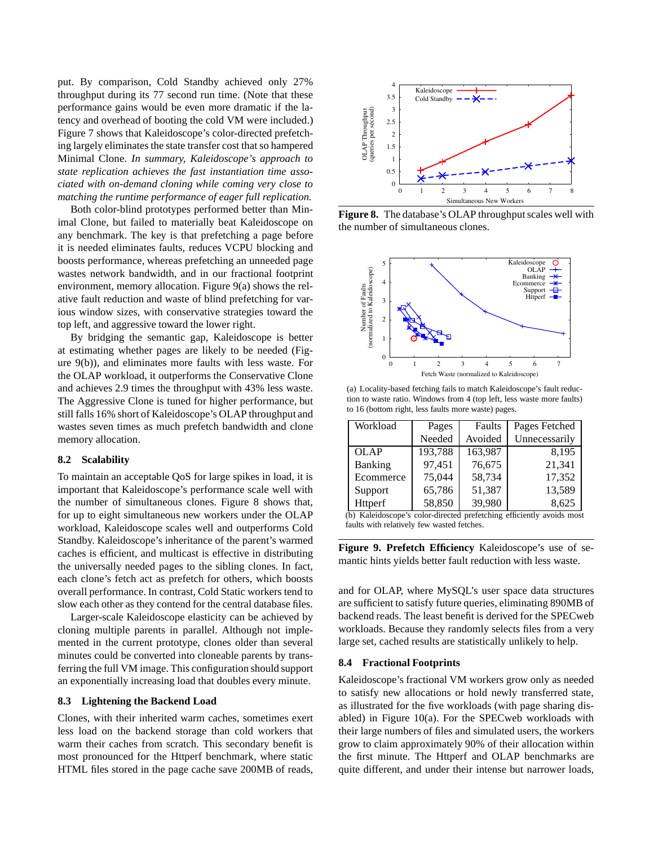put. By comparison, Cold Standby achieved only 27% throughput during its 77 second run time. (Note that these performance gains would be even more dramatic if the latency and overhead of booting the cold VM were included.) Figure 7 shows that Kaleidoscope's color-directed prefetching largely eliminates the state transfer cost that so hampered Minimal Clone. *In summary, Kaleidoscope's approach to state replication achieves the fast instantiation time associated with on-demand cloning while coming very close to matching the runtime performance of eager full replication.*

Both color-blind prototypes performed better than Minimal Clone, but failed to materially beat Kaleidoscope on any benchmark. The key is that prefetching a page before it is needed eliminates faults, reduces VCPU blocking and boosts performance, whereas prefetching an unneeded page wastes network bandwidth, and in our fractional footprint environment, memory allocation. Figure 9(a) shows the relative fault reduction and waste of blind prefetching for various window sizes, with conservative strategies toward the top left, and aggressive toward the lower right.

By bridging the semantic gap, Kaleidoscope is better at estimating whether pages are likely to be needed (Figure 9(b)), and eliminates more faults with less waste. For the OLAP workload, it outperforms the Conservative Clone and achieves 2.9 times the throughput with 43% less waste. The Aggressive Clone is tuned for higher performance, but still falls 16% short of Kaleidoscope's OLAP throughput and wastes seven times as much prefetch bandwidth and clone memory allocation.

### **8.2 Scalability**

To maintain an acceptable QoS for large spikes in load, it is important that Kaleidoscope's performance scale well with the number of simultaneous clones. Figure 8 shows that, for up to eight simultaneous new workers under the OLAP workload, Kaleidoscope scales well and outperforms Cold Standby. Kaleidoscope's inheritance of the parent's warmed caches is efficient, and multicast is effective in distributing the universally needed pages to the sibling clones. In fact, each clone's fetch act as prefetch for others, which boosts overall performance. In contrast, Cold Static workers tend to slow each other as they contend for the central database files.

Larger-scale Kaleidoscope elasticity can be achieved by cloning multiple parents in parallel. Although not implemented in the current prototype, clones older than several minutes could be converted into cloneable parents by transferring the full VM image. This configuration should support an exponentially increasing load that doubles every minute.

#### **8.3 Lightening the Backend Load**

Clones, with their inherited warm caches, sometimes exert less load on the backend storage than cold workers that warm their caches from scratch. This secondary benefit is most pronounced for the Httperf benchmark, where static HTML files stored in the page cache save 200MB of reads,



**Figure 8.** The database's OLAP throughput scales well with the number of simultaneous clones.



(a) Locality-based fetching fails to match Kaleidoscope's fault reduction to waste ratio. Windows from 4 (top left, less waste more faults) to 16 (bottom right, less faults more waste) pages.

| Workload    | Pages   | Faults  | Pages Fetched |
|-------------|---------|---------|---------------|
|             | Needed  | Avoided | Unnecessarily |
| <b>OLAP</b> | 193,788 | 163,987 | 8.195         |
| Banking     | 97,451  | 76,675  | 21,341        |
| Ecommerce   | 75,044  | 58,734  | 17,352        |
| Support     | 65,786  | 51,387  | 13,589        |
| Httperf     | 58,850  | 39,980  | 8,625         |

(b) Kaleidoscope's color-directed prefetching efficiently avoids most faults with relatively few wasted fetches.

**Figure 9. Prefetch Efficiency** Kaleidoscope's use of semantic hints yields better fault reduction with less waste.

and for OLAP, where MySQL's user space data structures are sufficient to satisfy future queries, eliminating 890MB of backend reads. The least benefit is derived for the SPECweb workloads. Because they randomly selects files from a very large set, cached results are statistically unlikely to help.

#### **8.4 Fractional Footprints**

Kaleidoscope's fractional VM workers grow only as needed to satisfy new allocations or hold newly transferred state, as illustrated for the five workloads (with page sharing disabled) in Figure 10(a). For the SPECweb workloads with their large numbers of files and simulated users, the workers grow to claim approximately 90% of their allocation within the first minute. The Httperf and OLAP benchmarks are quite different, and under their intense but narrower loads,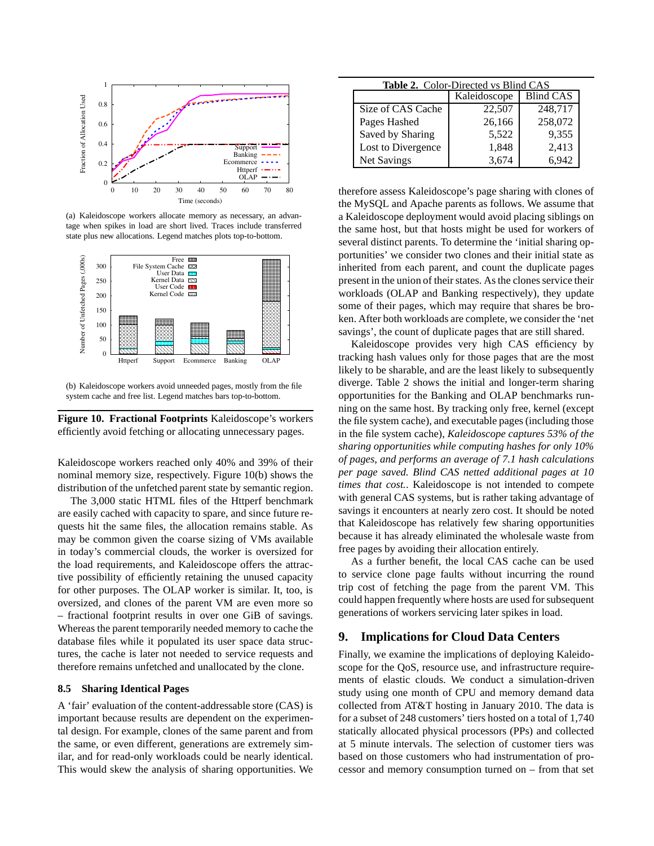

(a) Kaleidoscope workers allocate memory as necessary, an advantage when spikes in load are short lived. Traces include transferred state plus new allocations. Legend matches plots top-to-bottom.



(b) Kaleidoscope workers avoid unneeded pages, mostly from the file system cache and free list. Legend matches bars top-to-bottom.

**Figure 10. Fractional Footprints** Kaleidoscope's workers efficiently avoid fetching or allocating unnecessary pages.

Kaleidoscope workers reached only 40% and 39% of their nominal memory size, respectively. Figure 10(b) shows the distribution of the unfetched parent state by semantic region.

The 3,000 static HTML files of the Httperf benchmark are easily cached with capacity to spare, and since future requests hit the same files, the allocation remains stable. As may be common given the coarse sizing of VMs available in today's commercial clouds, the worker is oversized for the load requirements, and Kaleidoscope offers the attractive possibility of efficiently retaining the unused capacity for other purposes. The OLAP worker is similar. It, too, is oversized, and clones of the parent VM are even more so – fractional footprint results in over one GiB of savings. Whereas the parent temporarily needed memory to cache the database files while it populated its user space data structures, the cache is later not needed to service requests and therefore remains unfetched and unallocated by the clone.

#### **8.5 Sharing Identical Pages**

A 'fair' evaluation of the content-addressable store (CAS) is important because results are dependent on the experimental design. For example, clones of the same parent and from the same, or even different, generations are extremely similar, and for read-only workloads could be nearly identical. This would skew the analysis of sharing opportunities. We

| <b>Table 2.</b> Color-Directed vs Blind CAS |              |           |  |  |
|---------------------------------------------|--------------|-----------|--|--|
|                                             | Kaleidoscope | Blind CAS |  |  |
| Size of CAS Cache                           | 22,507       | 248,717   |  |  |
| Pages Hashed                                | 26,166       | 258,072   |  |  |
| Saved by Sharing                            | 5,522        | 9,355     |  |  |
| Lost to Divergence                          | 1,848        | 2,413     |  |  |
| Net Savings                                 | 3,674        | 6.942     |  |  |

therefore assess Kaleidoscope's page sharing with clones of the MySQL and Apache parents as follows. We assume that a Kaleidoscope deployment would avoid placing siblings on the same host, but that hosts might be used for workers of several distinct parents. To determine the 'initial sharing opportunities' we consider two clones and their initial state as inherited from each parent, and count the duplicate pages present in the union of their states. As the clones service their workloads (OLAP and Banking respectively), they update some of their pages, which may require that shares be broken. After both workloads are complete, we consider the 'net savings', the count of duplicate pages that are still shared.

Kaleidoscope provides very high CAS efficiency by tracking hash values only for those pages that are the most likely to be sharable, and are the least likely to subsequently diverge. Table 2 shows the initial and longer-term sharing opportunities for the Banking and OLAP benchmarks running on the same host. By tracking only free, kernel (except the file system cache), and executable pages (including those in the file system cache), *Kaleidoscope captures 53% of the sharing opportunities while computing hashes for only 10% of pages, and performs an average of 7.1 hash calculations per page saved. Blind CAS netted additional pages at 10 times that cost.*. Kaleidoscope is not intended to compete with general CAS systems, but is rather taking advantage of savings it encounters at nearly zero cost. It should be noted that Kaleidoscope has relatively few sharing opportunities because it has already eliminated the wholesale waste from free pages by avoiding their allocation entirely.

As a further benefit, the local CAS cache can be used to service clone page faults without incurring the round trip cost of fetching the page from the parent VM. This could happen frequently where hosts are used for subsequent generations of workers servicing later spikes in load.

# **9. Implications for Cloud Data Centers**

Finally, we examine the implications of deploying Kaleidoscope for the QoS, resource use, and infrastructure requirements of elastic clouds. We conduct a simulation-driven study using one month of CPU and memory demand data collected from AT&T hosting in January 2010. The data is for a subset of 248 customers' tiers hosted on a total of 1,740 statically allocated physical processors (PPs) and collected at 5 minute intervals. The selection of customer tiers was based on those customers who had instrumentation of processor and memory consumption turned on – from that set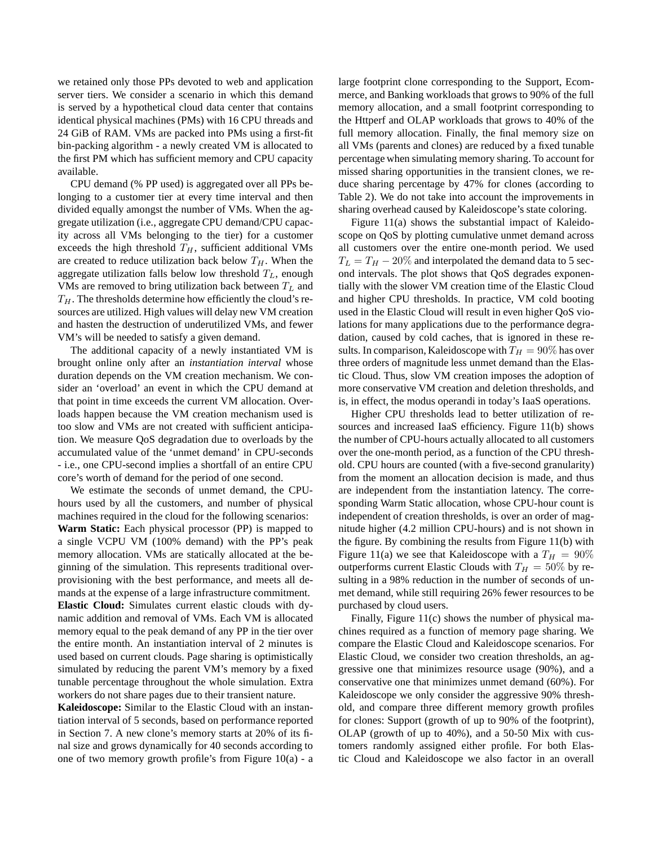we retained only those PPs devoted to web and application server tiers. We consider a scenario in which this demand is served by a hypothetical cloud data center that contains identical physical machines (PMs) with 16 CPU threads and 24 GiB of RAM. VMs are packed into PMs using a first-fit bin-packing algorithm - a newly created VM is allocated to the first PM which has sufficient memory and CPU capacity available.

CPU demand (% PP used) is aggregated over all PPs belonging to a customer tier at every time interval and then divided equally amongst the number of VMs. When the aggregate utilization (i.e., aggregate CPU demand/CPU capacity across all VMs belonging to the tier) for a customer exceeds the high threshold  $T_H$ , sufficient additional VMs are created to reduce utilization back below  $T_H$ . When the aggregate utilization falls below low threshold  $T_L$ , enough VMs are removed to bring utilization back between  $T_L$  and  $T_H$ . The thresholds determine how efficiently the cloud's resources are utilized. High values will delay new VM creation and hasten the destruction of underutilized VMs, and fewer VM's will be needed to satisfy a given demand.

The additional capacity of a newly instantiated VM is brought online only after an *instantiation interval* whose duration depends on the VM creation mechanism. We consider an 'overload' an event in which the CPU demand at that point in time exceeds the current VM allocation. Overloads happen because the VM creation mechanism used is too slow and VMs are not created with sufficient anticipation. We measure QoS degradation due to overloads by the accumulated value of the 'unmet demand' in CPU-seconds - i.e., one CPU-second implies a shortfall of an entire CPU core's worth of demand for the period of one second.

We estimate the seconds of unmet demand, the CPUhours used by all the customers, and number of physical machines required in the cloud for the following scenarios: **Warm Static:** Each physical processor (PP) is mapped to a single VCPU VM (100% demand) with the PP's peak memory allocation. VMs are statically allocated at the beginning of the simulation. This represents traditional overprovisioning with the best performance, and meets all demands at the expense of a large infrastructure commitment. **Elastic Cloud:** Simulates current elastic clouds with dynamic addition and removal of VMs. Each VM is allocated memory equal to the peak demand of any PP in the tier over the entire month. An instantiation interval of 2 minutes is used based on current clouds. Page sharing is optimistically

simulated by reducing the parent VM's memory by a fixed tunable percentage throughout the whole simulation. Extra workers do not share pages due to their transient nature. **Kaleidoscope:** Similar to the Elastic Cloud with an instan-

tiation interval of 5 seconds, based on performance reported in Section 7. A new clone's memory starts at 20% of its final size and grows dynamically for 40 seconds according to one of two memory growth profile's from Figure 10(a) - a

large footprint clone corresponding to the Support, Ecommerce, and Banking workloads that grows to 90% of the full memory allocation, and a small footprint corresponding to the Httperf and OLAP workloads that grows to 40% of the full memory allocation. Finally, the final memory size on all VMs (parents and clones) are reduced by a fixed tunable percentage when simulating memory sharing. To account for missed sharing opportunities in the transient clones, we reduce sharing percentage by 47% for clones (according to Table 2). We do not take into account the improvements in sharing overhead caused by Kaleidoscope's state coloring.

Figure 11(a) shows the substantial impact of Kaleidoscope on QoS by plotting cumulative unmet demand across all customers over the entire one-month period. We used  $T_L = T_H - 20\%$  and interpolated the demand data to 5 second intervals. The plot shows that QoS degrades exponentially with the slower VM creation time of the Elastic Cloud and higher CPU thresholds. In practice, VM cold booting used in the Elastic Cloud will result in even higher QoS violations for many applications due to the performance degradation, caused by cold caches, that is ignored in these results. In comparison, Kaleidoscope with  $T_H = 90\%$  has over three orders of magnitude less unmet demand than the Elastic Cloud. Thus, slow VM creation imposes the adoption of more conservative VM creation and deletion thresholds, and is, in effect, the modus operandi in today's IaaS operations.

Higher CPU thresholds lead to better utilization of resources and increased IaaS efficiency. Figure 11(b) shows the number of CPU-hours actually allocated to all customers over the one-month period, as a function of the CPU threshold. CPU hours are counted (with a five-second granularity) from the moment an allocation decision is made, and thus are independent from the instantiation latency. The corresponding Warm Static allocation, whose CPU-hour count is independent of creation thresholds, is over an order of magnitude higher (4.2 million CPU-hours) and is not shown in the figure. By combining the results from Figure 11(b) with Figure 11(a) we see that Kaleidoscope with a  $T_H = 90\%$ outperforms current Elastic Clouds with  $T_H = 50\%$  by resulting in a 98% reduction in the number of seconds of unmet demand, while still requiring 26% fewer resources to be purchased by cloud users.

Finally, Figure 11(c) shows the number of physical machines required as a function of memory page sharing. We compare the Elastic Cloud and Kaleidoscope scenarios. For Elastic Cloud, we consider two creation thresholds, an aggressive one that minimizes resource usage (90%), and a conservative one that minimizes unmet demand (60%). For Kaleidoscope we only consider the aggressive 90% threshold, and compare three different memory growth profiles for clones: Support (growth of up to 90% of the footprint), OLAP (growth of up to 40%), and a 50-50 Mix with customers randomly assigned either profile. For both Elastic Cloud and Kaleidoscope we also factor in an overall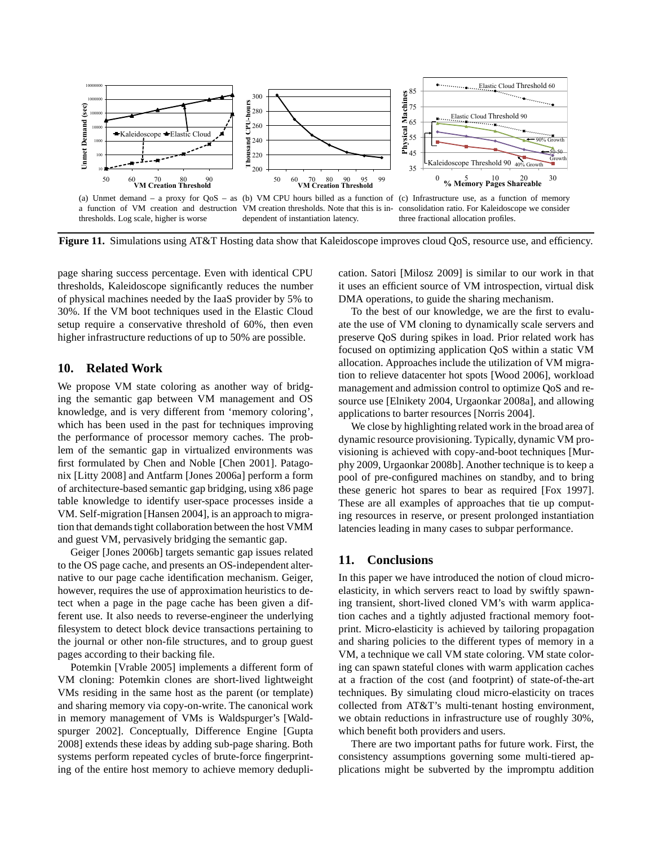

**Figure 11.** Simulations using AT&T Hosting data show that Kaleidoscope improves cloud QoS, resource use, and efficiency.

page sharing success percentage. Even with identical CPU thresholds, Kaleidoscope significantly reduces the number of physical machines needed by the IaaS provider by 5% to 30%. If the VM boot techniques used in the Elastic Cloud setup require a conservative threshold of 60%, then even higher infrastructure reductions of up to 50% are possible.

## **10. Related Work**

We propose VM state coloring as another way of bridging the semantic gap between VM management and OS knowledge, and is very different from 'memory coloring', which has been used in the past for techniques improving the performance of processor memory caches. The problem of the semantic gap in virtualized environments was first formulated by Chen and Noble [Chen 2001]. Patagonix [Litty 2008] and Antfarm [Jones 2006a] perform a form of architecture-based semantic gap bridging, using x86 page table knowledge to identify user-space processes inside a VM. Self-migration [Hansen 2004], is an approach to migration that demands tight collaboration between the host VMM and guest VM, pervasively bridging the semantic gap.

Geiger [Jones 2006b] targets semantic gap issues related to the OS page cache, and presents an OS-independent alternative to our page cache identification mechanism. Geiger, however, requires the use of approximation heuristics to detect when a page in the page cache has been given a different use. It also needs to reverse-engineer the underlying filesystem to detect block device transactions pertaining to the journal or other non-file structures, and to group guest pages according to their backing file.

Potemkin [Vrable 2005] implements a different form of VM cloning: Potemkin clones are short-lived lightweight VMs residing in the same host as the parent (or template) and sharing memory via copy-on-write. The canonical work in memory management of VMs is Waldspurger's [Waldspurger 2002]. Conceptually, Difference Engine [Gupta 2008] extends these ideas by adding sub-page sharing. Both systems perform repeated cycles of brute-force fingerprinting of the entire host memory to achieve memory deduplication. Satori [Milosz 2009] is similar to our work in that it uses an efficient source of VM introspection, virtual disk DMA operations, to guide the sharing mechanism.

To the best of our knowledge, we are the first to evaluate the use of VM cloning to dynamically scale servers and preserve QoS during spikes in load. Prior related work has focused on optimizing application QoS within a static VM allocation. Approaches include the utilization of VM migration to relieve datacenter hot spots [Wood 2006], workload management and admission control to optimize QoS and resource use [Elnikety 2004, Urgaonkar 2008a], and allowing applications to barter resources [Norris 2004].

We close by highlighting related work in the broad area of dynamic resource provisioning. Typically, dynamic VM provisioning is achieved with copy-and-boot techniques [Murphy 2009, Urgaonkar 2008b]. Another technique is to keep a pool of pre-configured machines on standby, and to bring these generic hot spares to bear as required [Fox 1997]. These are all examples of approaches that tie up computing resources in reserve, or present prolonged instantiation latencies leading in many cases to subpar performance.

### **11. Conclusions**

In this paper we have introduced the notion of cloud microelasticity, in which servers react to load by swiftly spawning transient, short-lived cloned VM's with warm application caches and a tightly adjusted fractional memory footprint. Micro-elasticity is achieved by tailoring propagation and sharing policies to the different types of memory in a VM, a technique we call VM state coloring. VM state coloring can spawn stateful clones with warm application caches at a fraction of the cost (and footprint) of state-of-the-art techniques. By simulating cloud micro-elasticity on traces collected from AT&T's multi-tenant hosting environment, we obtain reductions in infrastructure use of roughly 30%, which benefit both providers and users.

There are two important paths for future work. First, the consistency assumptions governing some multi-tiered applications might be subverted by the impromptu addition